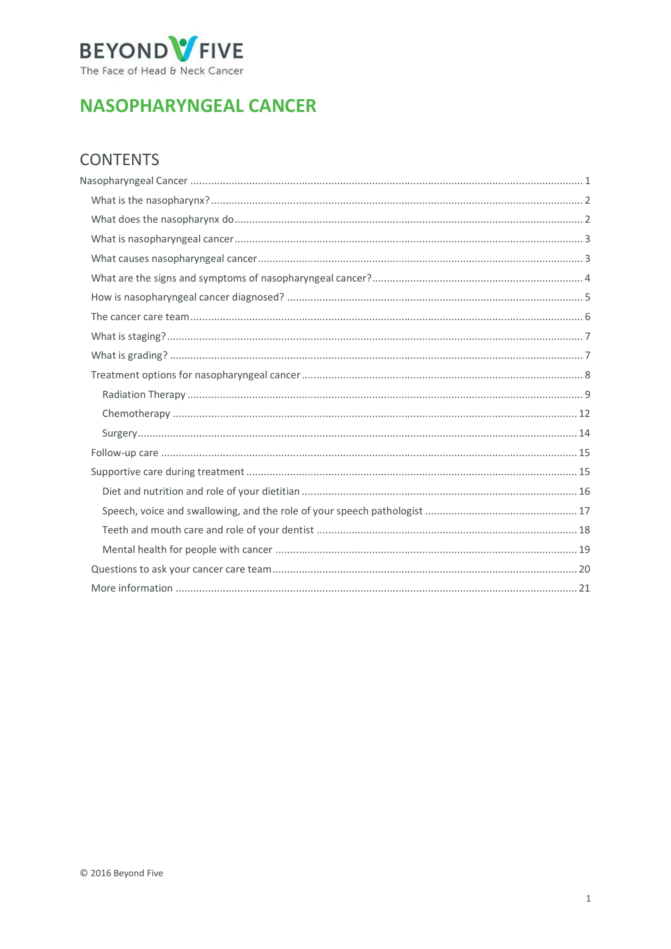

# <span id="page-0-0"></span>**NASOPHARYNGEAL CANCER**

## **CONTENTS**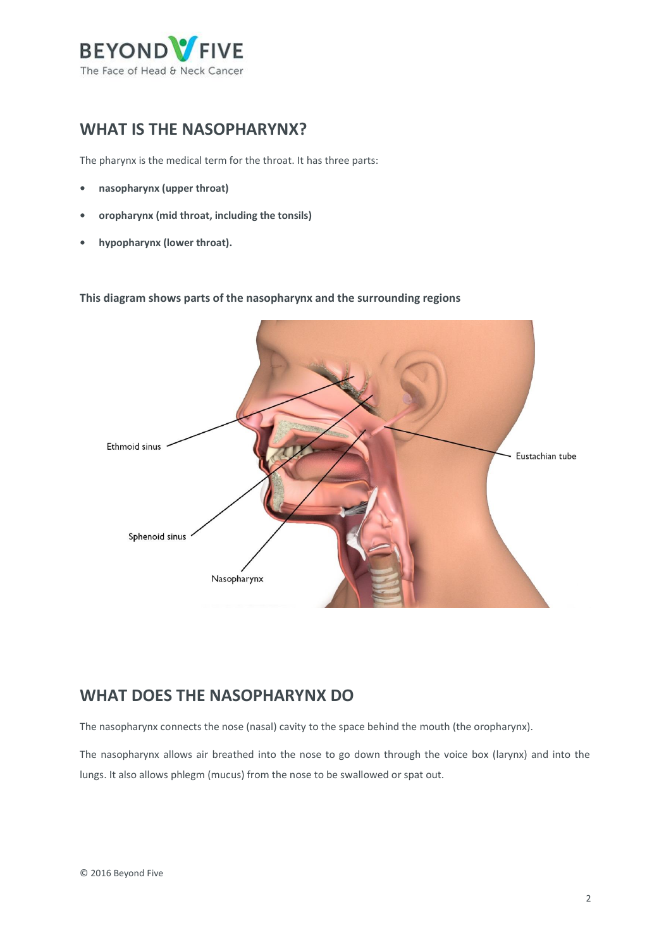

## <span id="page-1-0"></span>**WHAT IS THE NASOPHARYNX?**

The pharynx is the medical term for the throat. It has three parts:

- **• nasopharynx (upper throat)**
- **• oropharynx (mid throat, including the tonsils)**
- **• hypopharynx (lower throat).**

**This diagram shows parts of the nasopharynx and the surrounding regions**



## <span id="page-1-1"></span>**WHAT DOES THE NASOPHARYNX DO**

The nasopharynx connects the nose (nasal) cavity to the space behind the mouth (the oropharynx).

The nasopharynx allows air breathed into the nose to go down through the voice box (larynx) and into the lungs. It also allows phlegm (mucus) from the nose to be swallowed or spat out.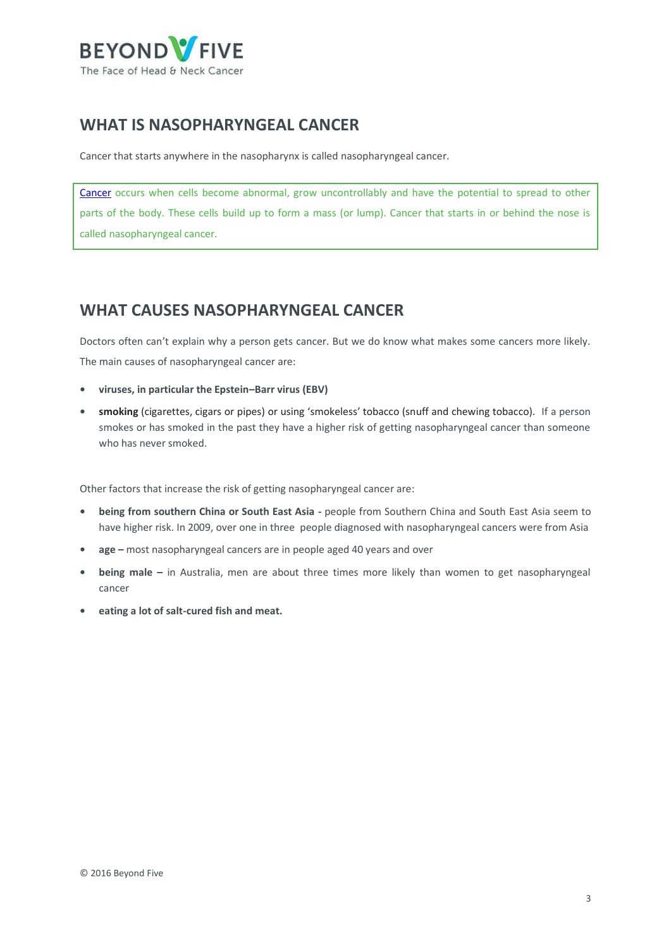

## <span id="page-2-0"></span>**WHAT IS NASOPHARYNGEAL CANCER**

Cancer that starts anywhere in the nasopharynx is called nasopharyngeal cancer.

[Cancer](http://www.cancer.org.au/about-cancer/what-is-cancer) occurs when cells become abnormal, grow uncontrollably and have the potential to spread to other parts of the body. These cells build up to form a mass (or lump). Cancer that starts in or behind the nose is called nasopharyngeal cancer.

## <span id="page-2-1"></span>**WHAT CAUSES NASOPHARYNGEAL CANCER**

Doctors often can't explain why a person gets cancer. But we do know what makes some cancers more likely. The main causes of nasopharyngeal cancer are:

- **• viruses, in particular the Epstein–Barr virus (EBV)**
- **• smoking** (cigarettes, cigars or pipes) or using 'smokeless' tobacco (snuff and chewing tobacco). If a person smokes or has smoked in the past they have a higher risk of getting nasopharyngeal cancer than someone who has never smoked.

Other factors that increase the risk of getting nasopharyngeal cancer are:

- **• being from southern China or South East Asia -** people from Southern China and South East Asia seem to have higher risk. In 2009, over one in three people diagnosed with nasopharyngeal cancers were from Asia
- **• age –** most nasopharyngeal cancers are in people aged 40 years and over
- **• being male –** in Australia, men are about three times more likely than women to get nasopharyngeal cancer
- **• eating a lot of salt-cured fish and meat.**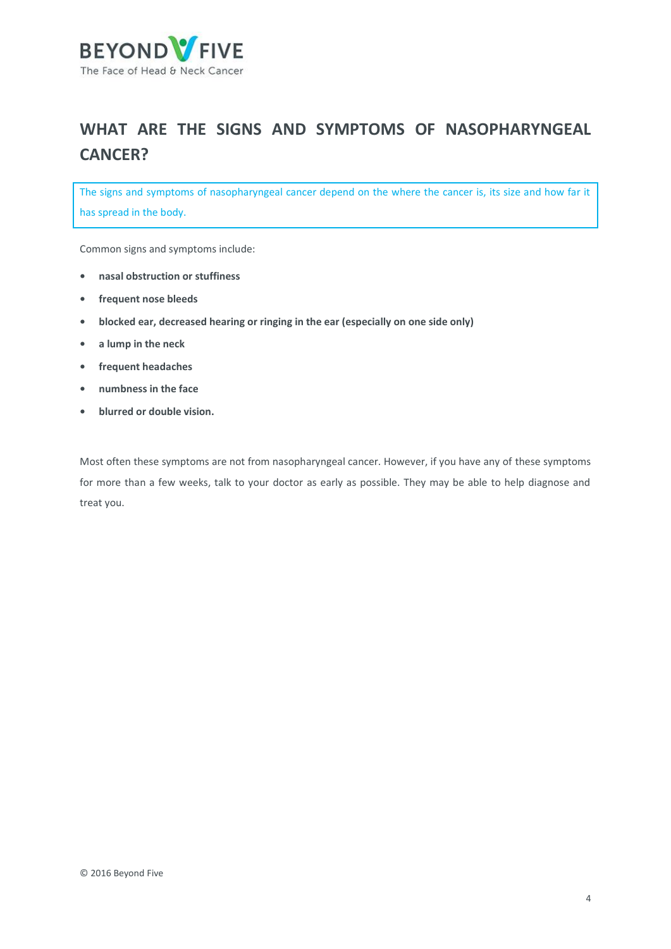

# <span id="page-3-0"></span>**WHAT ARE THE SIGNS AND SYMPTOMS OF NASOPHARYNGEAL CANCER?**

The signs and symptoms of nasopharyngeal cancer depend on the where the cancer is, its size and how far it has spread in the body.

Common signs and symptoms include:

- **• nasal obstruction or stuffiness**
- **• frequent nose bleeds**
- **• blocked ear, decreased hearing or ringing in the ear (especially on one side only)**
- **• a lump in the neck**
- **• frequent headaches**
- **• numbness in the face**
- **• blurred or double vision.**

Most often these symptoms are not from nasopharyngeal cancer. However, if you have any of these symptoms for more than a few weeks, talk to your doctor as early as possible. They may be able to help diagnose and treat you.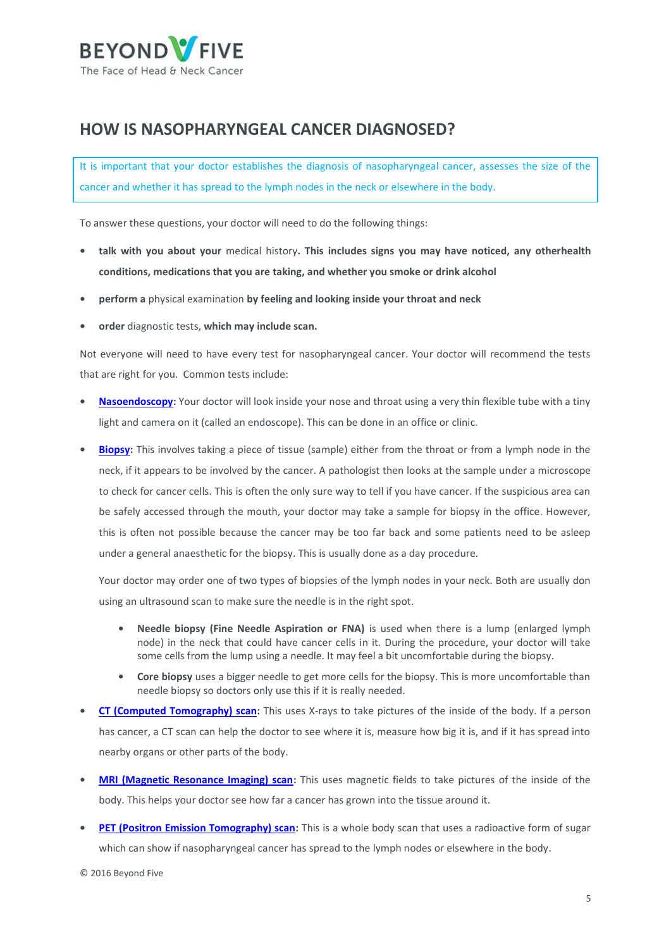

## <span id="page-4-0"></span>**HOW IS NASOPHARYNGEAL CANCER DIAGNOSED?**

It is important that your doctor establishes the diagnosis of nasopharyngeal cancer, assesses the size of the cancer and whether it has spread to the lymph nodes in the neck or elsewhere in the body.

To answer these questions, your doctor will need to do the following things:

- **• talk with you about your** medical history**. This includes signs you may have noticed, any otherhealth conditions, medications that you are taking, and whether you smoke or drink alcohol**
- **• perform a** physical examination **by feeling and looking inside your throat and neck**
- **• order** diagnostic tests, **which may include scan.**

Not everyone will need to have every test for nasopharyngeal cancer. Your doctor will recommend the tests that are right for you. Common tests include:

- **• [Nasoendoscopy:](https://beyondfive.org.au/Diagnosis/What-tests-do-I-need-to-have/Nasoendoscopy-and-Laryngoscopy.aspx)** Your doctor will look inside your nose and throat using a very thin flexible tube with a tiny light and camera on it (called an endoscope). This can be done in an office or clinic.
- **• [Biopsy:](https://beyondfive.org.au/Diagnosis/What-tests-do-I-need-to-have/Biopsy.aspx)** This involves taking a piece of tissue (sample) either from the throat or from a lymph node in the neck, if it appears to be involved by the cancer. A pathologist then looks at the sample under a microscope to check for cancer cells. This is often the only sure way to tell if you have cancer. If the suspicious area can be safely accessed through the mouth, your doctor may take a sample for biopsy in the office. However, this is often not possible because the cancer may be too far back and some patients need to be asleep under a general anaesthetic for the biopsy. This is usually done as a day procedure.

Your doctor may order one of two types of biopsies of the lymph nodes in your neck. Both are usually don using an ultrasound scan to make sure the needle is in the right spot.

- **• Needle biopsy (Fine Needle Aspiration or FNA)** is used when there is a lump (enlarged lymph node) in the neck that could have cancer cells in it. During the procedure, your doctor will take some cells from the lump using a needle. It may feel a bit uncomfortable during the biopsy.
- **• Core biopsy** uses a bigger needle to get more cells for the biopsy. This is more uncomfortable than needle biopsy so doctors only use this if it is really needed.
- **• [CT \(Computed Tomography\) scan:](https://beyondfive.org.au/Diagnosis/What-tests-do-I-need-to-have/CT-scan-and-MRI-scan.aspx)** This uses X-rays to take pictures of the inside of the body. If a person has cancer, a CT scan can help the doctor to see where it is, measure how big it is, and if it has spread into nearby organs or other parts of the body.
- **• [MRI \(Magnetic Resonance Imaging\) scan:](https://beyondfive.org.au/Diagnosis/What-tests-do-I-need-to-have/CT-scan-and-MRI-scan.aspx)** This uses magnetic fields to take pictures of the inside of the body. This helps your doctor see how far a cancer has grown into the tissue around it.
- **• [PET \(Positron Emission Tomography\) scan:](https://beyondfive.org.au/Diagnosis/What-tests-do-I-need-to-have/PET-scan.aspx)** This is a whole body scan that uses a radioactive form of sugar which can show if nasopharyngeal cancer has spread to the lymph nodes or elsewhere in the body.

© 2016 Beyond Five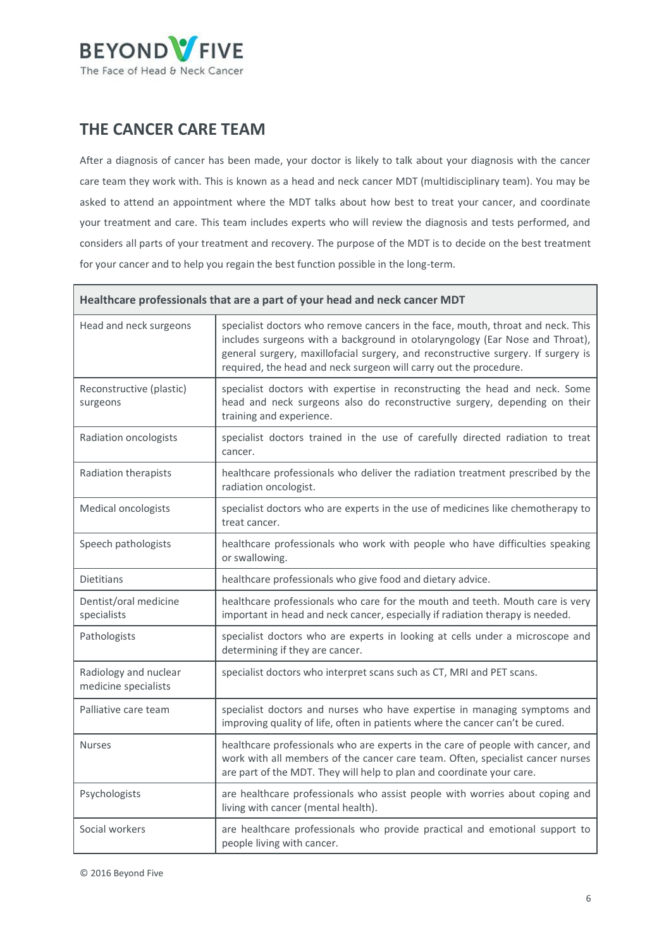

## <span id="page-5-0"></span>**THE CANCER CARE TEAM**

After a diagnosis of cancer has been made, your doctor is likely to talk about your diagnosis with the cancer care team they work with. This is known as a head and neck cancer MDT (multidisciplinary team). You may be asked to attend an appointment where the MDT talks about how best to treat your cancer, and coordinate your treatment and care. This team includes experts who will review the diagnosis and tests performed, and considers all parts of your treatment and recovery. The purpose of the MDT is to decide on the best treatment for your cancer and to help you regain the best function possible in the long-term.

| Healthcare professionals that are a part of your head and neck cancer MDT |                                                                                                                                                                                                                                                                                                                           |  |
|---------------------------------------------------------------------------|---------------------------------------------------------------------------------------------------------------------------------------------------------------------------------------------------------------------------------------------------------------------------------------------------------------------------|--|
| Head and neck surgeons                                                    | specialist doctors who remove cancers in the face, mouth, throat and neck. This<br>includes surgeons with a background in otolaryngology (Ear Nose and Throat),<br>general surgery, maxillofacial surgery, and reconstructive surgery. If surgery is<br>required, the head and neck surgeon will carry out the procedure. |  |
| Reconstructive (plastic)<br>surgeons                                      | specialist doctors with expertise in reconstructing the head and neck. Some<br>head and neck surgeons also do reconstructive surgery, depending on their<br>training and experience.                                                                                                                                      |  |
| Radiation oncologists                                                     | specialist doctors trained in the use of carefully directed radiation to treat<br>cancer.                                                                                                                                                                                                                                 |  |
| Radiation therapists                                                      | healthcare professionals who deliver the radiation treatment prescribed by the<br>radiation oncologist.                                                                                                                                                                                                                   |  |
| Medical oncologists                                                       | specialist doctors who are experts in the use of medicines like chemotherapy to<br>treat cancer.                                                                                                                                                                                                                          |  |
| Speech pathologists                                                       | healthcare professionals who work with people who have difficulties speaking<br>or swallowing.                                                                                                                                                                                                                            |  |
| <b>Dietitians</b>                                                         | healthcare professionals who give food and dietary advice.                                                                                                                                                                                                                                                                |  |
| Dentist/oral medicine<br>specialists                                      | healthcare professionals who care for the mouth and teeth. Mouth care is very<br>important in head and neck cancer, especially if radiation therapy is needed.                                                                                                                                                            |  |
| Pathologists                                                              | specialist doctors who are experts in looking at cells under a microscope and<br>determining if they are cancer.                                                                                                                                                                                                          |  |
| Radiology and nuclear<br>medicine specialists                             | specialist doctors who interpret scans such as CT, MRI and PET scans.                                                                                                                                                                                                                                                     |  |
| Palliative care team                                                      | specialist doctors and nurses who have expertise in managing symptoms and<br>improving quality of life, often in patients where the cancer can't be cured.                                                                                                                                                                |  |
| <b>Nurses</b>                                                             | healthcare professionals who are experts in the care of people with cancer, and<br>work with all members of the cancer care team. Often, specialist cancer nurses<br>are part of the MDT. They will help to plan and coordinate your care.                                                                                |  |
| Psychologists                                                             | are healthcare professionals who assist people with worries about coping and<br>living with cancer (mental health).                                                                                                                                                                                                       |  |
| Social workers                                                            | are healthcare professionals who provide practical and emotional support to<br>people living with cancer.                                                                                                                                                                                                                 |  |

© 2016 Beyond Five

÷,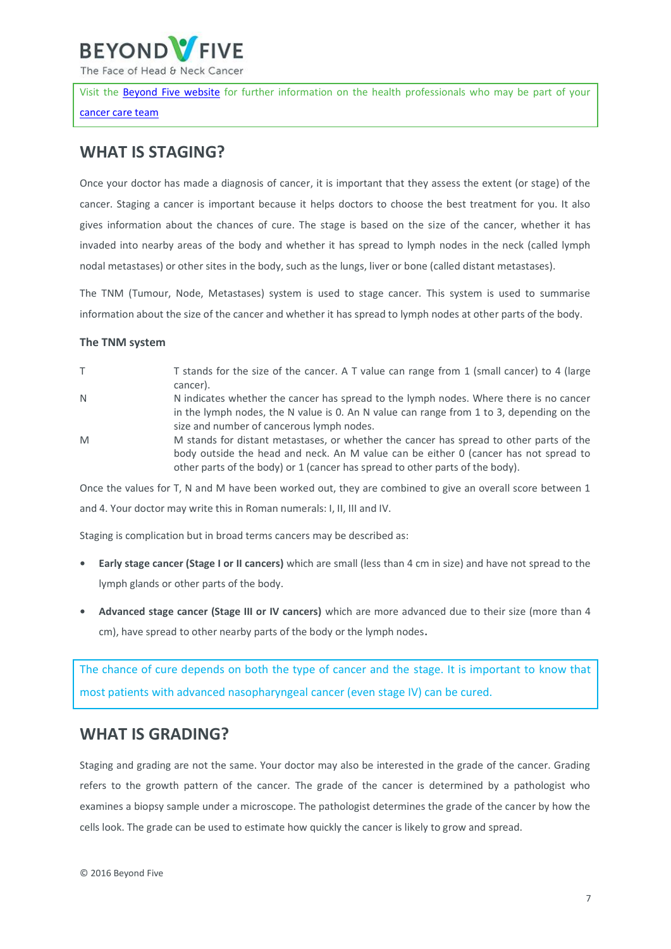

The Face of Head & Neck Cancer

Visit the [Beyond Five website](http://www.beyondfive.org.au/) for further information on the health professionals who may be part of your [cancer care team](https://beyondfive.org.au/Diagnosis/The-cancer-care-team.aspx)

## <span id="page-6-0"></span>**WHAT IS STAGING?**

Once your doctor has made a diagnosis of cancer, it is important that they assess the extent (or stage) of the cancer. Staging a cancer is important because it helps doctors to choose the best treatment for you. It also gives information about the chances of cure. The stage is based on the size of the cancer, whether it has invaded into nearby areas of the body and whether it has spread to lymph nodes in the neck (called lymph nodal metastases) or other sites in the body, such as the lungs, liver or bone (called distant metastases).

The TNM (Tumour, Node, Metastases) system is used to stage cancer. This system is used to summarise information about the size of the cancer and whether it has spread to lymph nodes at other parts of the body.

#### **The TNM system**

- T T Stands for the size of the cancer. A T value can range from 1 (small cancer) to 4 (large cancer).
- N N indicates whether the cancer has spread to the lymph nodes. Where there is no cancer in the lymph nodes, the N value is 0. An N value can range from 1 to 3, depending on the size and number of cancerous lymph nodes.
- M M stands for distant metastases, or whether the cancer has spread to other parts of the body outside the head and neck. An M value can be either 0 (cancer has not spread to other parts of the body) or 1 (cancer has spread to other parts of the body).

Once the values for T, N and M have been worked out, they are combined to give an overall score between 1 and 4. Your doctor may write this in Roman numerals: I, II, III and IV.

Staging is complication but in broad terms cancers may be described as:

- **• Early stage cancer (Stage I or II cancers)** which are small (less than 4 cm in size) and have not spread to the lymph glands or other parts of the body.
- **• Advanced stage cancer (Stage III or IV cancers)** which are more advanced due to their size (more than 4 cm), have spread to other nearby parts of the body or the lymph nodes**.**

The chance of cure depends on both the type of cancer and the stage. It is important to know that most patients with advanced nasopharyngeal cancer (even stage IV) can be cured.

## <span id="page-6-1"></span>**WHAT IS GRADING?**

Staging and grading are not the same. Your doctor may also be interested in the grade of the cancer. Grading refers to the growth pattern of the cancer. The grade of the cancer is determined by a pathologist who examines a biopsy sample under a microscope. The pathologist determines the grade of the cancer by how the cells look. The grade can be used to estimate how quickly the cancer is likely to grow and spread.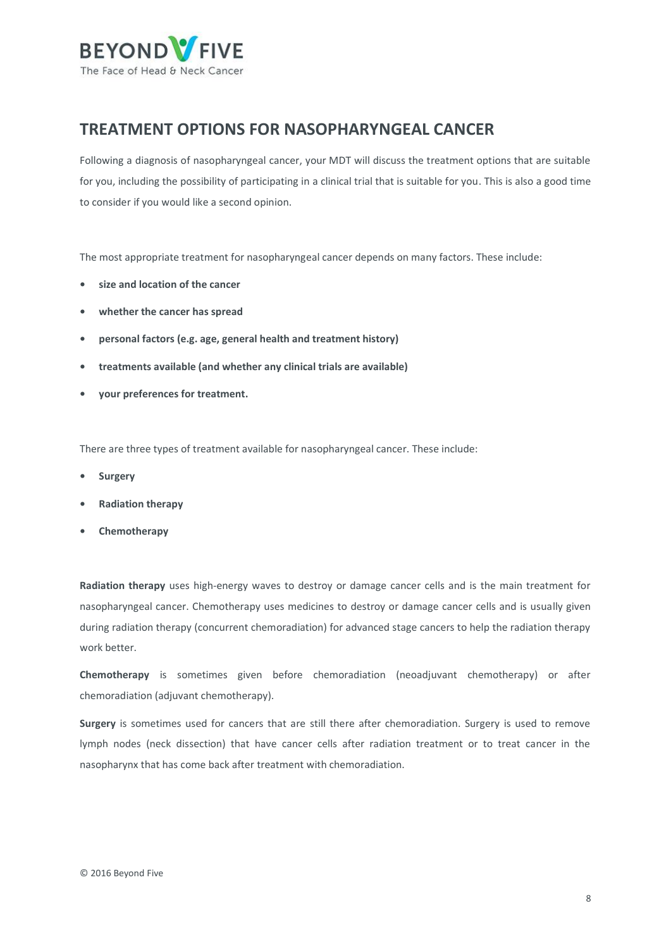

## <span id="page-7-0"></span>**TREATMENT OPTIONS FOR NASOPHARYNGEAL CANCER**

Following a diagnosis of nasopharyngeal cancer, your MDT will discuss the treatment options that are suitable for you, including the possibility of participating in a clinical trial that is suitable for you. This is also a good time to consider if you would like a second opinion.

The most appropriate treatment for nasopharyngeal cancer depends on many factors. These include:

- **• size and location of the cancer**
- **• whether the cancer has spread**
- **• personal factors (e.g. age, general health and treatment history)**
- **• treatments available (and whether any clinical trials are available)**
- **• your preferences for treatment.**

There are three types of treatment available for nasopharyngeal cancer. These include:

- **• [Surgery](https://beyondfive.org.au/Treatment/Oropharyngeal-cancer/Surgery.aspx)**
- **• [Radiation therapy](https://beyondfive.org.au/Treatment/Oropharyngeal-cancer/Radiation-therapy.aspx)**
- **• [Chemotherapy](https://beyondfive.org.au/Treatment/Oropharyngeal-cancer/Chemotherapy.aspx)**

**Radiation therapy** uses high-energy waves to destroy or damage cancer cells and is the main treatment for nasopharyngeal cancer. Chemotherapy uses medicines to destroy or damage cancer cells and is usually given during radiation therapy (concurrent chemoradiation) for advanced stage cancers to help the radiation therapy work better.

**Chemotherapy** is sometimes given before chemoradiation (neoadjuvant chemotherapy) or after chemoradiation (adjuvant chemotherapy).

**Surgery** is sometimes used for cancers that are still there after chemoradiation. Surgery is used to remove lymph nodes (neck dissection) that have cancer cells after radiation treatment or to treat cancer in the nasopharynx that has come back after treatment with chemoradiation.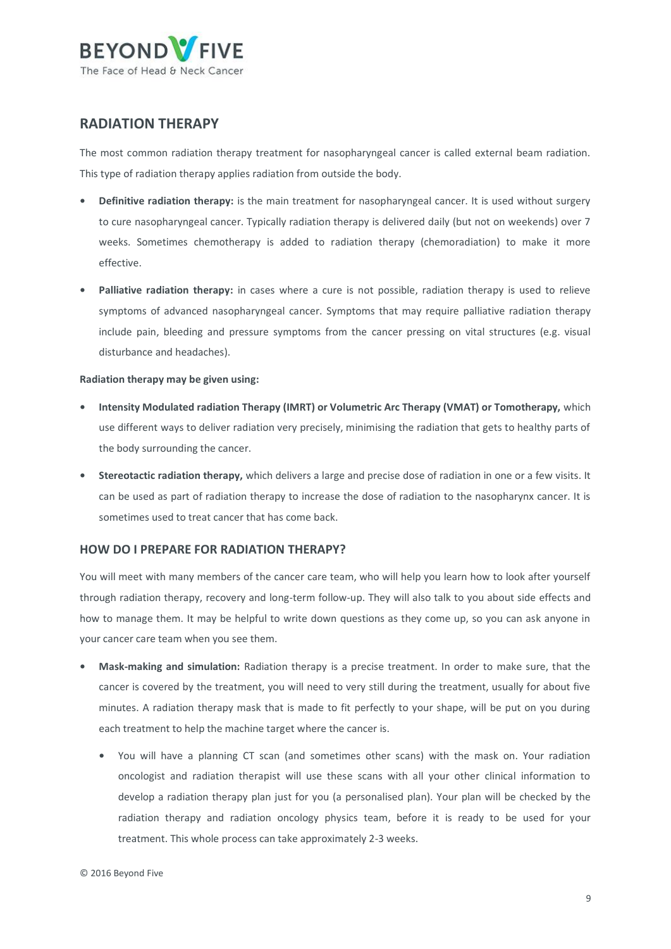

### <span id="page-8-0"></span>**RADIATION THERAPY**

The most common radiation therapy treatment for nasopharyngeal cancer is called external beam radiation. This type of radiation therapy applies radiation from outside the body.

- **• Definitive radiation therapy:** is the main treatment for nasopharyngeal cancer. It is used without surgery to cure nasopharyngeal cancer. Typically radiation therapy is delivered daily (but not on weekends) over 7 weeks. Sometimes chemotherapy is added to radiation therapy (chemoradiation) to make it more effective.
- **• Palliative radiation therapy:** in cases where a cure is not possible, radiation therapy is used to relieve symptoms of advanced nasopharyngeal cancer. Symptoms that may require palliative radiation therapy include pain, bleeding and pressure symptoms from the cancer pressing on vital structures (e.g. visual disturbance and headaches).

#### **Radiation therapy may be given using:**

- **• Intensity Modulated radiation Therapy (IMRT) or Volumetric Arc Therapy (VMAT) or Tomotherapy,** which use different ways to deliver radiation very precisely, minimising the radiation that gets to healthy parts of the body surrounding the cancer.
- **• Stereotactic radiation therapy,** which delivers a large and precise dose of radiation in one or a few visits. It can be used as part of radiation therapy to increase the dose of radiation to the nasopharynx cancer. It is sometimes used to treat cancer that has come back.

#### **HOW DO I PREPARE FOR RADIATION THERAPY?**

You will meet with many members of the cancer care team, who will help you learn how to look after yourself through radiation therapy, recovery and long-term follow-up. They will also talk to you about side effects and how to manage them. It may be helpful to write down questions as they come up, so you can ask anyone in your cancer care team when you see them.

- **• Mask-making and simulation:** Radiation therapy is a precise treatment. In order to make sure, that the cancer is covered by the treatment, you will need to very still during the treatment, usually for about five minutes. A radiation therapy mask that is made to fit perfectly to your shape, will be put on you during each treatment to help the machine target where the cancer is.
	- **•** You will have a planning CT scan (and sometimes other scans) with the mask on. Your radiation oncologist and radiation therapist will use these scans with all your other clinical information to develop a radiation therapy plan just for you (a personalised plan). Your plan will be checked by the radiation therapy and radiation oncology physics team, before it is ready to be used for your treatment. This whole process can take approximately 2-3 weeks.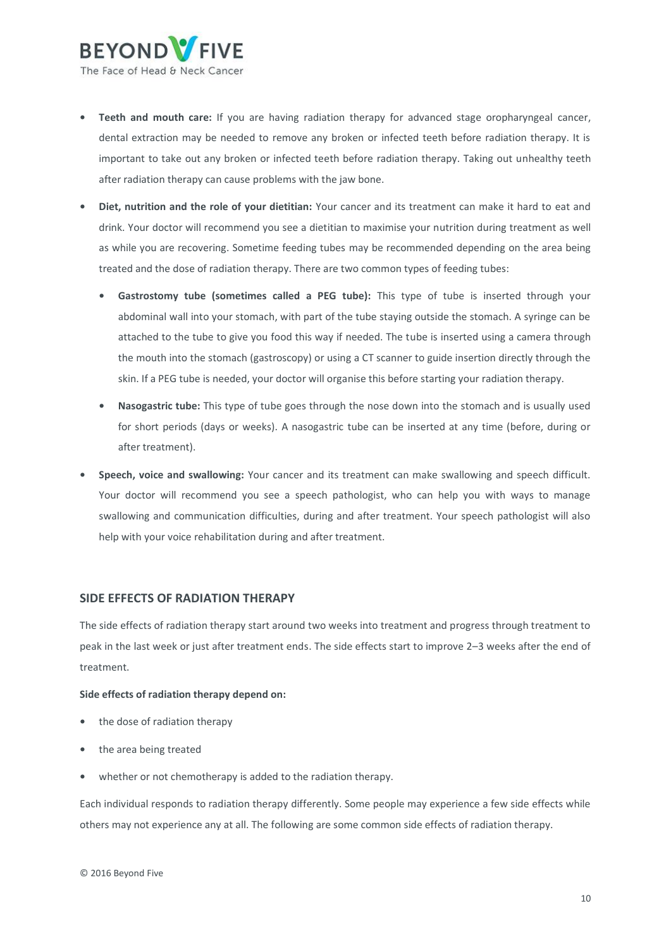

- **• Teeth and mouth care:** If you are having radiation therapy for advanced stage oropharyngeal cancer, dental extraction may be needed to remove any broken or infected teeth before radiation therapy. It is important to take out any broken or infected teeth before radiation therapy. Taking out unhealthy teeth after radiation therapy can cause problems with the jaw bone.
- **• Diet, nutrition and the role of your dietitian:** Your cancer and its treatment can make it hard to eat and drink. Your doctor will recommend you see a dietitian to maximise your nutrition during treatment as well as while you are recovering. Sometime feeding tubes may be recommended depending on the area being treated and the dose of radiation therapy. There are two common types of feeding tubes:
	- **• Gastrostomy tube (sometimes called a PEG tube):** This type of tube is inserted through your abdominal wall into your stomach, with part of the tube staying outside the stomach. A syringe can be attached to the tube to give you food this way if needed. The tube is inserted using a camera through the mouth into the stomach (gastroscopy) or using a CT scanner to guide insertion directly through the skin. If a PEG tube is needed, your doctor will organise this before starting your radiation therapy.
	- **• Nasogastric tube:** This type of tube goes through the nose down into the stomach and is usually used for short periods (days or weeks). A nasogastric tube can be inserted at any time (before, during or after treatment).
- **• Speech, voice and swallowing:** Your cancer and its treatment can make swallowing and speech difficult. Your doctor will recommend you see a speech pathologist, who can help you with ways to manage swallowing and communication difficulties, during and after treatment. Your speech pathologist will also help with your voice rehabilitation during and after treatment.

#### **SIDE EFFECTS OF RADIATION THERAPY**

The side effects of radiation therapy start around two weeks into treatment and progress through treatment to peak in the last week or just after treatment ends. The side effects start to improve 2–3 weeks after the end of treatment.

#### **Side effects of radiation therapy depend on:**

- **•** the dose of radiation therapy
- **•** the area being treated
- **•** whether or not chemotherapy is added to the radiation therapy.

Each individual responds to radiation therapy differently. Some people may experience a few side effects while others may not experience any at all. The following are some common side effects of radiation therapy.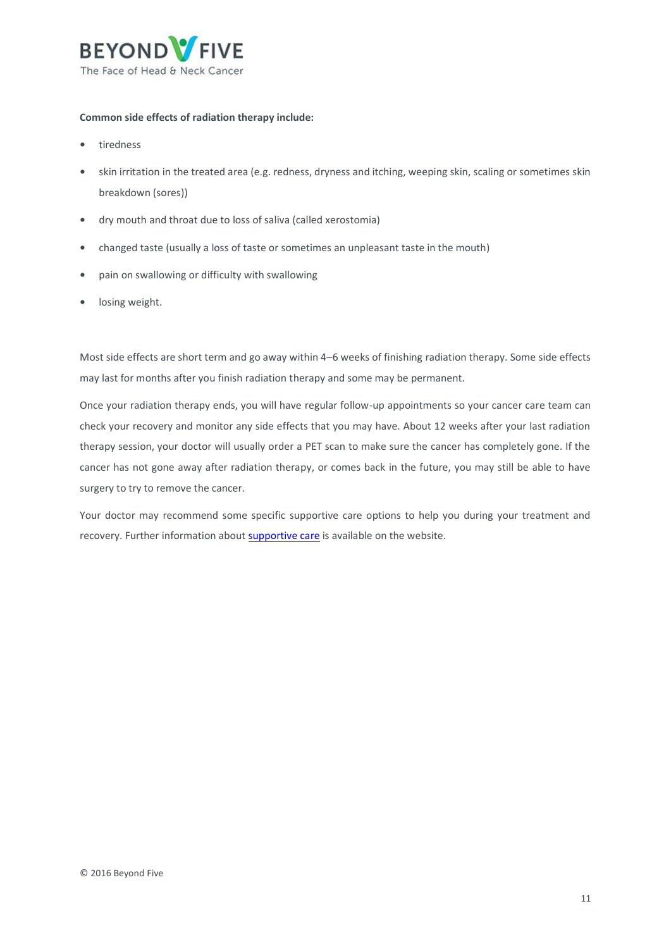

#### **Common side effects of radiation therapy include:**

- **•** tiredness
- **•** skin irritation in the treated area (e.g. redness, dryness and itching, weeping skin, scaling or sometimes skin breakdown (sores))
- **•** dry mouth and throat due to loss of saliva (called xerostomia)
- **•** changed taste (usually a loss of taste or sometimes an unpleasant taste in the mouth)
- **•** pain on swallowing or difficulty with swallowing
- **•** losing weight.

Most side effects are short term and go away within 4–6 weeks of finishing radiation therapy. Some side effects may last for months after you finish radiation therapy and some may be permanent.

Once your radiation therapy ends, you will have regular follow-up appointments so your cancer care team can check your recovery and monitor any side effects that you may have. About 12 weeks after your last radiation therapy session, your doctor will usually order a PET scan to make sure the cancer has completely gone. If the cancer has not gone away after radiation therapy, or comes back in the future, you may still be able to have surgery to try to remove the cancer.

Your doctor may recommend some specific supportive care options to help you during your treatment and recovery. Further information about [supportive care](https://beyondfive.org.au/Life-after-cancer/Supportive-care.aspx) is available on the website.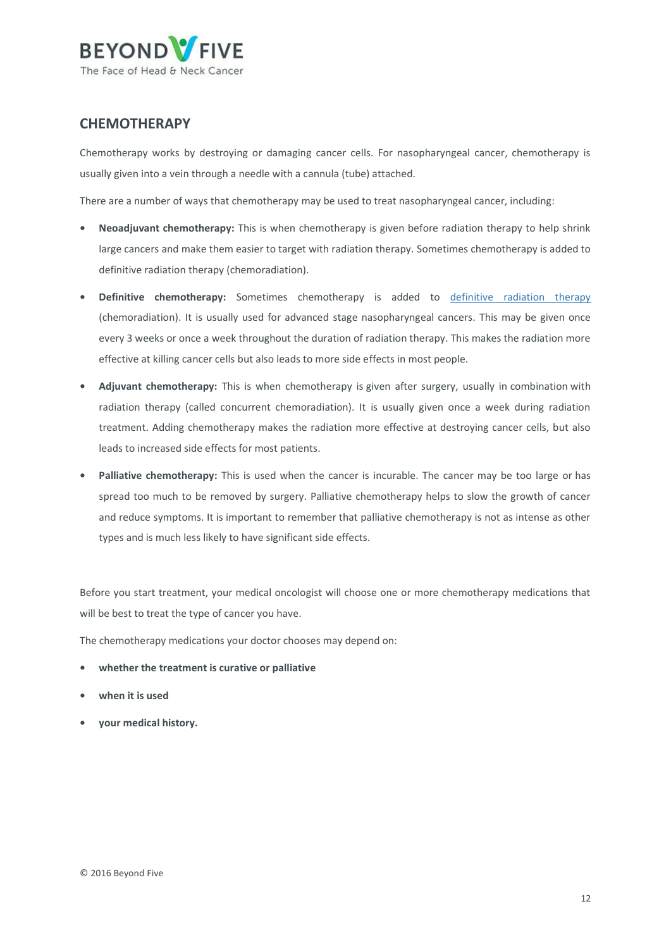

### <span id="page-11-0"></span>**CHEMOTHERAPY**

Chemotherapy works by destroying or damaging cancer cells. For nasopharyngeal cancer, chemotherapy is usually given into a vein through a needle with a cannula (tube) attached.

There are a number of ways that chemotherapy may be used to treat nasopharyngeal cancer, including:

- **• Neoadjuvant chemotherapy:** This is when chemotherapy is given before radiation therapy to help shrink large cancers and make them easier to target with radiation therapy. Sometimes chemotherapy is added to definitive radiation therapy (chemoradiation).
- **• Definitive chemotherapy:** Sometimes chemotherapy is added to [definitive radiation therapy](https://www.beyondfive.org.au/Treatment/Nasopharyngeal-cancer/Radiation-therapy.aspx) (chemoradiation). It is usually used for advanced stage nasopharyngeal cancers. This may be given once every 3 weeks or once a week throughout the duration of radiation therapy. This makes the radiation more effective at killing cancer cells but also leads to more side effects in most people.
- **• Adjuvant chemotherapy:** This is when chemotherapy is given after surgery, usually in combination with radiation therapy (called concurrent chemoradiation). It is usually given once a week during radiation treatment. Adding chemotherapy makes the radiation more effective at destroying cancer cells, but also leads to increased side effects for most patients.
- **• Palliative chemotherapy:** This is used when the cancer is incurable. The cancer may be too large or has spread too much to be removed by surgery. Palliative chemotherapy helps to slow the growth of cancer and reduce symptoms. It is important to remember that palliative chemotherapy is not as intense as other types and is much less likely to have significant side effects.

Before you start treatment, your medical oncologist will choose one or more chemotherapy medications that will be best to treat the type of cancer you have.

The chemotherapy medications your doctor chooses may depend on:

- **• whether the treatment is curative or palliative**
- **• when it is used**
- **• your medical history.**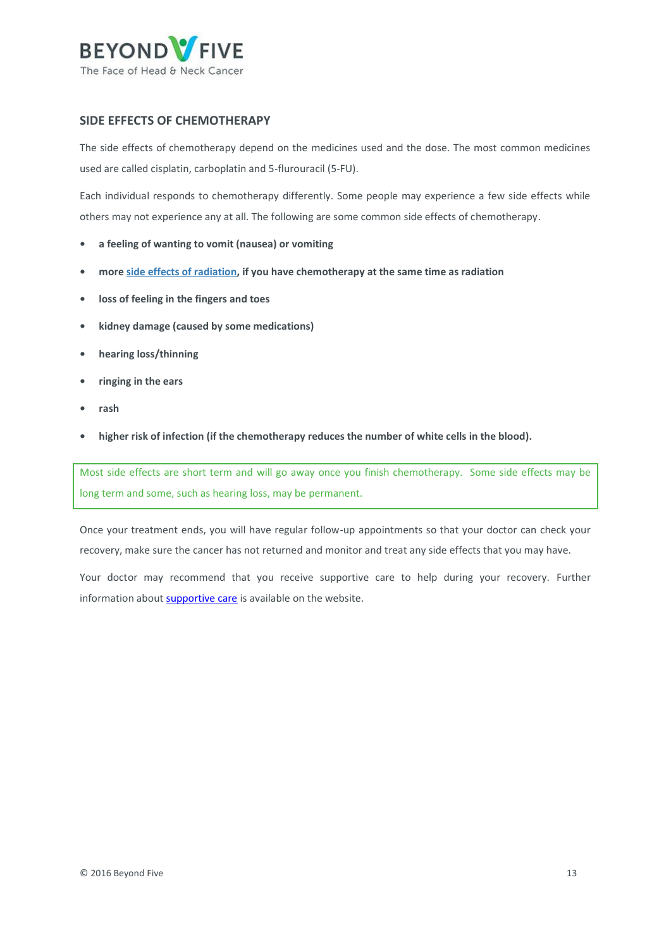

#### **SIDE EFFECTS OF CHEMOTHERAPY**

The side effects of chemotherapy depend on the medicines used and the dose. The most common medicines used are called cisplatin, carboplatin and 5-flurouracil (5-FU).

Each individual responds to chemotherapy differently. Some people may experience a few side effects while others may not experience any at all. The following are some common side effects of chemotherapy.

- **• a feeling of wanting to vomit (nausea) or vomiting**
- **• more [side effects of radiation,](https://beyondfive.org.au/Treatment/Nasopharyngeal-cancer/Radiation-therapy.aspx) if you have chemotherapy at the same time as radiation**
- **• loss of feeling in the fingers and toes**
- **• kidney damage (caused by some medications)**
- **• hearing loss/thinning**
- **• ringing in the ears**
- **• rash**
- **• higher risk of infection (if the chemotherapy reduces the number of white cells in the blood).**

Most side effects are short term and will go away once you finish chemotherapy. Some side effects may be long term and some, such as hearing loss, may be permanent.

Once your treatment ends, you will have regular follow-up appointments so that your doctor can check your recovery, make sure the cancer has not returned and monitor and treat any side effects that you may have.

Your doctor may recommend that you receive supportive care to help during your recovery. Further information abou[t supportive care](https://beyondfive.org.au/Life-after-cancer/Supportive-care.aspx) is available on the website.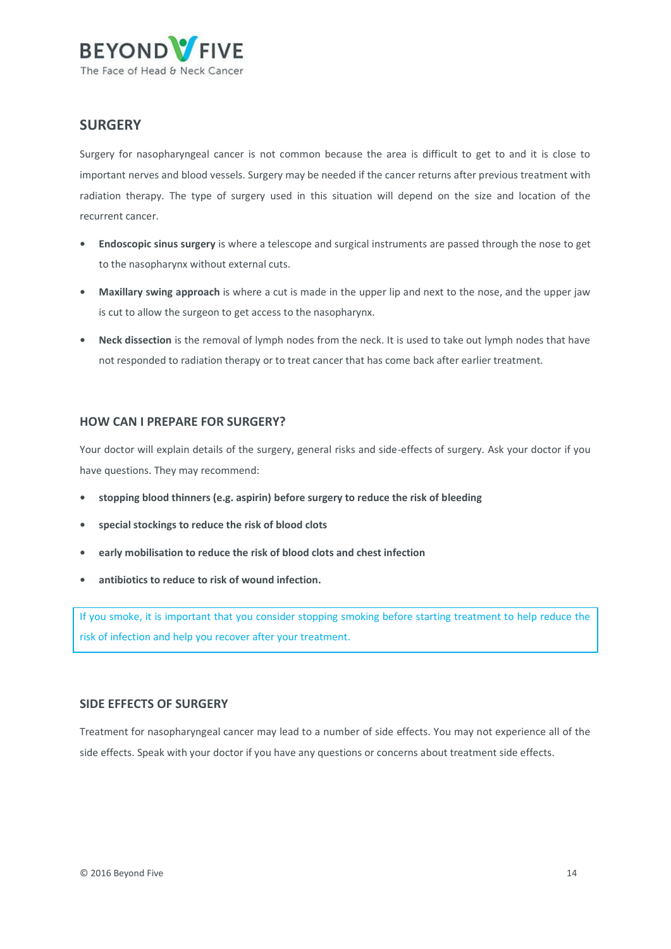

### <span id="page-13-0"></span>**SURGERY**

Surgery for nasopharyngeal cancer is not common because the area is difficult to get to and it is close to important nerves and blood vessels. Surgery may be needed if the cancer returns after previous treatment with radiation therapy. The type of surgery used in this situation will depend on the size and location of the recurrent cancer.

- **• Endoscopic sinus surgery** is where a telescope and surgical instruments are passed through the nose to get to the nasopharynx without external cuts.
- **• Maxillary swing approach** is where a cut is made in the upper lip and next to the nose, and the upper jaw is cut to allow the surgeon to get access to the nasopharynx.
- **• Neck dissection** is the removal of lymph nodes from the neck. It is used to take out lymph nodes that have not responded to radiation therapy or to treat cancer that has come back after earlier treatment.

#### **HOW CAN I PREPARE FOR SURGERY?**

Your doctor will explain details of the surgery, general risks and side-effects of surgery. Ask your doctor if you have questions. They may recommend:

- **• stopping blood thinners (e.g. aspirin) before surgery to reduce the risk of bleeding**
- **• special stockings to reduce the risk of blood clots**
- **• early mobilisation to reduce the risk of blood clots and chest infection**
- **• antibiotics to reduce to risk of wound infection.**

If you smoke, it is important that you consider stopping smoking before starting treatment to help reduce the risk of infection and help you recover after your treatment.

#### **SIDE EFFECTS OF SURGERY**

Treatment for nasopharyngeal cancer may lead to a number of side effects. You may not experience all of the side effects. Speak with your doctor if you have any questions or concerns about treatment side effects.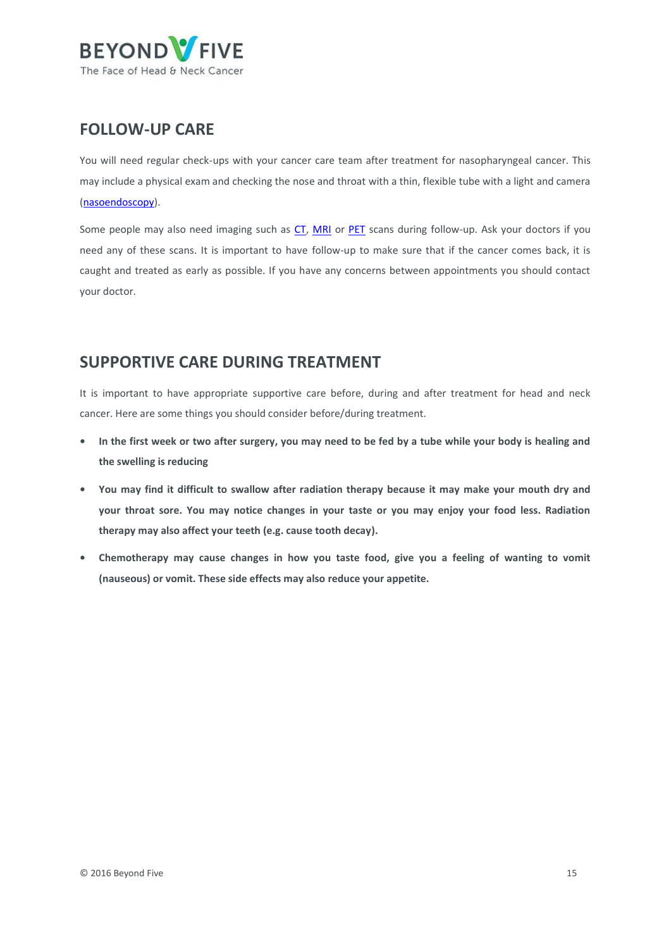

## <span id="page-14-0"></span>**FOLLOW-UP CARE**

You will need regular check-ups with your cancer care team after treatment for nasopharyngeal cancer. This may include a physical exam and checking the nose and throat with a thin, flexible tube with a light and camera [\(nasoendoscopy\)](https://beyondfive.org.au/Diagnosis/What-tests-do-I-need-to-have/Nasoendoscopy-and-Laryngoscopy.aspx).

Some people may also need imaging such as [CT, MRI](https://beyondfive.org.au/Diagnosis/What-tests-do-I-need-to-have/CT-scan-and-MRI-scan.aspx) or [PET](https://beyondfive.org.au/Diagnosis/What-tests-do-I-need-to-have/PET-scan.aspx) scans during follow-up. Ask your doctors if you need any of these scans. It is important to have follow-up to make sure that if the cancer comes back, it is caught and treated as early as possible. If you have any concerns between appointments you should contact your doctor.

## <span id="page-14-1"></span>**SUPPORTIVE CARE DURING TREATMENT**

It is important to have appropriate supportive care before, during and after treatment for head and neck cancer. Here are some things you should consider before/during treatment.

- **• In the first week or two after surgery, you may need to be fed by a tube while your body is healing and the swelling is reducing**
- **• You may find it difficult to swallow after radiation therapy because it may make your mouth dry and your throat sore. You may notice changes in your taste or you may enjoy your food less. Radiation therapy may also affect your teeth (e.g. cause tooth decay).**
- **• Chemotherapy may cause changes in how you taste food, give you a feeling of wanting to vomit (nauseous) or vomit. These side effects may also reduce your appetite.**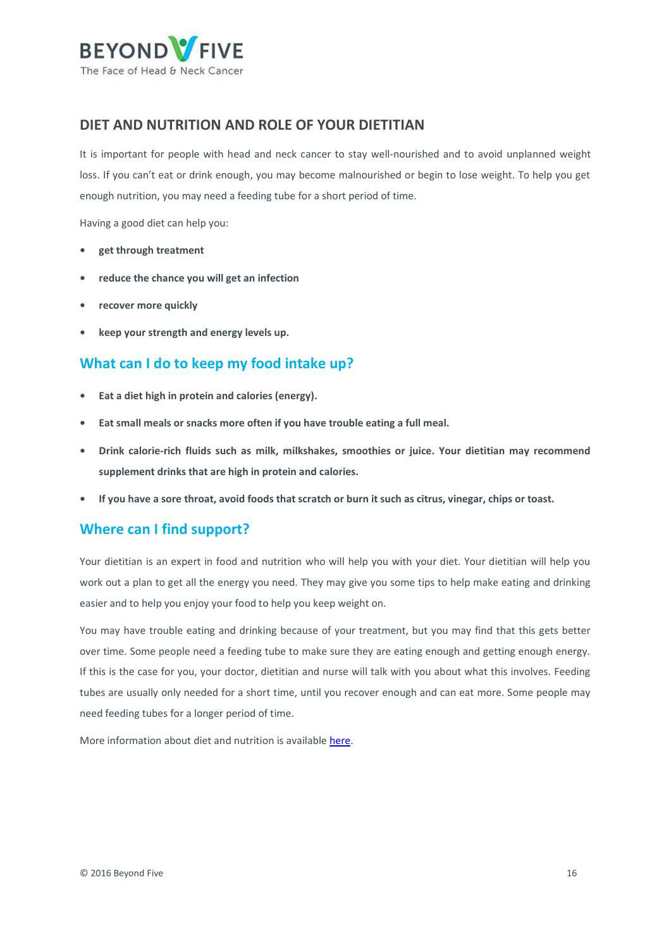

### <span id="page-15-0"></span>**DIET AND NUTRITION AND ROLE OF YOUR DIETITIAN**

It is important for people with head and neck cancer to stay well-nourished and to avoid unplanned weight loss. If you can't eat or drink enough, you may become malnourished or begin to lose weight. To help you get enough nutrition, you may need a feeding tube for a short period of time.

Having a good diet can help you:

- **• get through treatment**
- **• reduce the chance you will get an infection**
- **• recover more quickly**
- **• keep your strength and energy levels up.**

### **What can I do to keep my food intake up?**

- **• Eat a diet high in protein and calories (energy).**
- **• Eat small meals or snacks more often if you have trouble eating a full meal.**
- **• Drink calorie-rich fluids such as milk, milkshakes, smoothies or juice. Your dietitian may recommend supplement drinks that are high in protein and calories.**
- **• If you have a sore throat, avoid foods that scratch or burn it such as citrus, vinegar, chips or toast.**

### **Where can I find support?**

Your dietitian is an expert in food and nutrition who will help you with your diet. Your dietitian will help you work out a plan to get all the energy you need. They may give you some tips to help make eating and drinking easier and to help you enjoy your food to help you keep weight on.

You may have trouble eating and drinking because of your treatment, but you may find that this gets better over time. Some people need a feeding tube to make sure they are eating enough and getting enough energy. If this is the case for you, your doctor, dietitian and nurse will talk with you about what this involves. Feeding tubes are usually only needed for a short time, until you recover enough and can eat more. Some people may need feeding tubes for a longer period of time.

More information about diet and nutrition is availabl[e here.](http://www.cancer.org.au/preventing-cancer/nutrition-and-physical-activity/food-and-nutrition.html)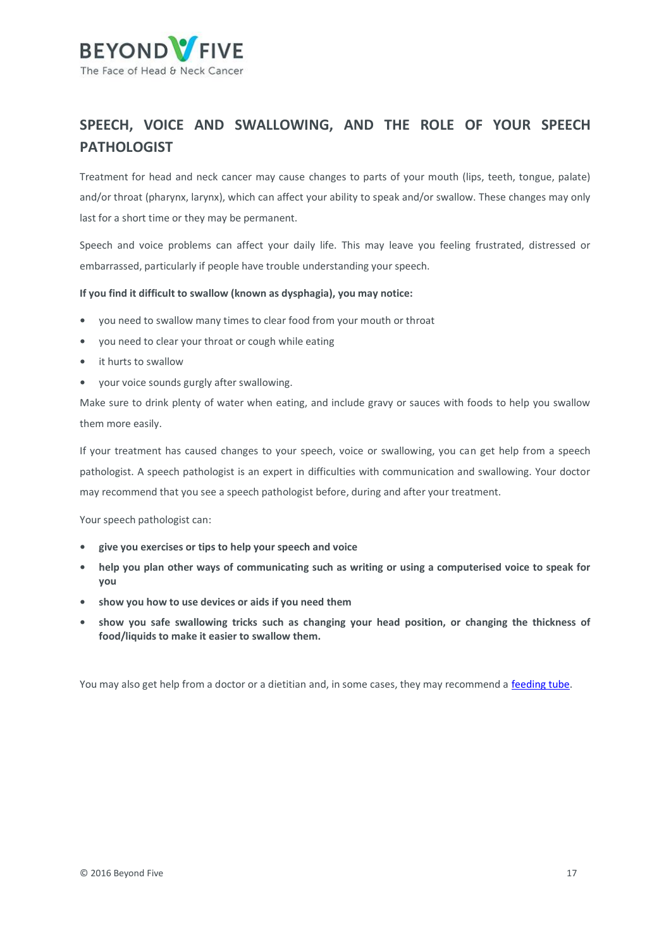

## <span id="page-16-0"></span>**SPEECH, VOICE AND SWALLOWING, AND THE ROLE OF YOUR SPEECH PATHOLOGIST**

Treatment for head and neck cancer may cause changes to parts of your mouth (lips, teeth, tongue, palate) and/or throat (pharynx, larynx), which can affect your ability to speak and/or swallow. These changes may only last for a short time or they may be permanent.

Speech and voice problems can affect your daily life. This may leave you feeling frustrated, distressed or embarrassed, particularly if people have trouble understanding your speech.

#### **If you find it difficult to swallow (known as dysphagia), you may notice:**

- **•** you need to swallow many times to clear food from your mouth or throat
- **•** you need to clear your throat or cough while eating
- **•** it hurts to swallow
- **•** your voice sounds gurgly after swallowing.

Make sure to drink plenty of water when eating, and include gravy or sauces with foods to help you swallow them more easily.

If your treatment has caused changes to your speech, voice or swallowing, you can get help from a speech pathologist. A speech pathologist is an expert in difficulties with communication and swallowing. Your doctor may recommend that you see a speech pathologist before, during and after your treatment.

Your speech pathologist can:

- **• give you exercises or tips to help your speech and voice**
- **• help you plan other ways of communicating such as writing or using a computerised voice to speak for you**
- **• show you how to use devices or aids if you need them**
- **• show you safe swallowing tricks such as changing your head position, or changing the thickness of food/liquids to make it easier to swallow them.**

You may also get help from a doctor or a dietitian and, in some cases, they may recommend a [feeding tube.](https://beyondfive.org.au/Treatment/Nasopharyngeal-cancer/Surgery.aspx)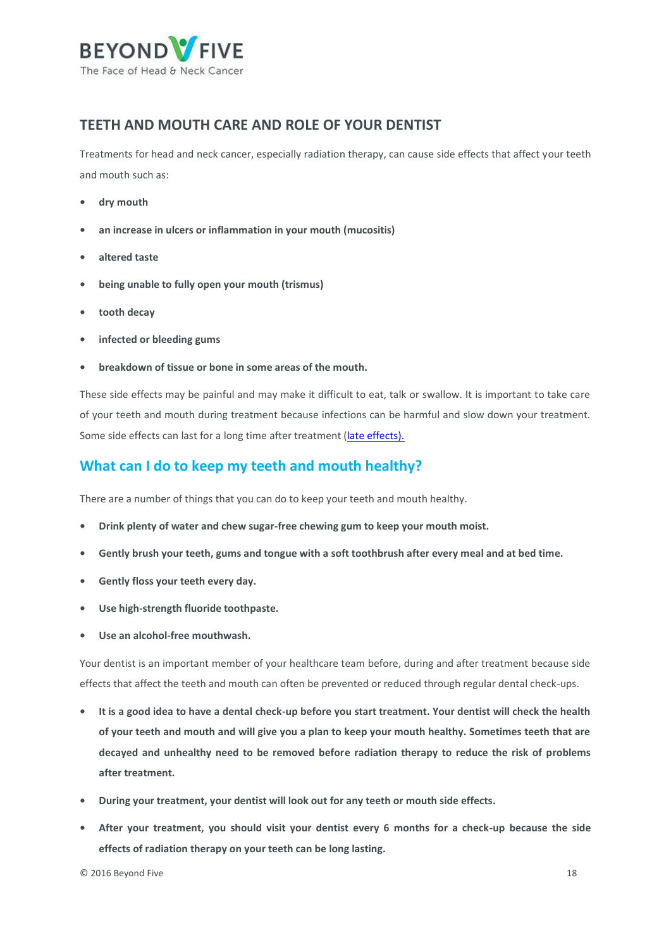

### <span id="page-17-0"></span>**TEETH AND MOUTH CARE AND ROLE OF YOUR DENTIST**

Treatments for head and neck cancer, especially radiation therapy, can cause side effects that affect your teeth and mouth such as:

- **• dry mouth**
- **• an increase in ulcers or inflammation in your mouth (mucositis)**
- **• altered taste**
- **• being unable to fully open your mouth (trismus)**
- **• tooth decay**
- **• infected or bleeding gums**
- **• breakdown of tissue or bone in some areas of the mouth.**

These side effects may be painful and may make it difficult to eat, talk or swallow. It is important to take care of your teeth and mouth during treatment because infections can be harmful and slow down your treatment. Some side effects can last for a long time after treatment [\(late effects\).](https://beyondfive.org.au/Life-after-cancer/Effects-of-cancer-treatment.aspx)

### **What can I do to keep my teeth and mouth healthy?**

There are a number of things that you can do to keep your teeth and mouth healthy.

- **• Drink plenty of water and chew sugar-free chewing gum to keep your mouth moist.**
- **• Gently brush your teeth, gums and tongue with a soft toothbrush after every meal and at bed time.**
- **• Gently floss your teeth every day.**
- **• Use high-strength fluoride toothpaste.**
- **• Use an alcohol-free mouthwash.**

Your dentist is an important member of your healthcare team before, during and after treatment because side effects that affect the teeth and mouth can often be prevented or reduced through regular dental check-ups.

- **• It is a good idea to have a dental check-up before you start treatment. Your dentist will check the health of your teeth and mouth and will give you a plan to keep your mouth healthy. Sometimes teeth that are decayed and unhealthy need to be removed before radiation therapy to reduce the risk of problems after treatment.**
- **• During your treatment, your dentist will look out for any teeth or mouth side effects.**
- **• After your treatment, you should visit your dentist every 6 months for a check-up because the side effects of radiation therapy on your teeth can be long lasting.**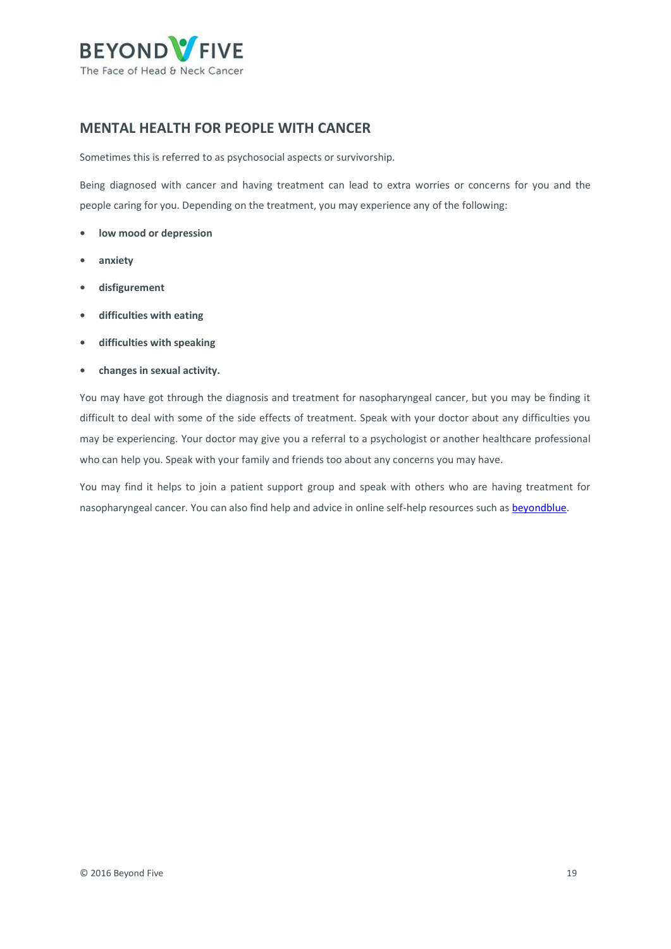

### <span id="page-18-0"></span>**MENTAL HEALTH FOR PEOPLE WITH CANCER**

Sometimes this is referred to as psychosocial aspects or survivorship.

Being diagnosed with cancer and having treatment can lead to extra worries or concerns for you and the people caring for you. Depending on the treatment, you may experience any of the following:

- **• low mood or depression**
- **• anxiety**
- **• disfigurement**
- **• difficulties with eating**
- **• difficulties with speaking**
- **• changes in sexual activity.**

You may have got through the diagnosis and treatment for nasopharyngeal cancer, but you may be finding it difficult to deal with some of the side effects of treatment. Speak with your doctor about any difficulties you may be experiencing. Your doctor may give you a referral to a psychologist or another healthcare professional who can help you. Speak with your family and friends too about any concerns you may have.

You may find it helps to join a patient support group and speak with others who are having treatment for nasopharyngeal cancer. You can also find help and advice in online self-help resources such as **beyondblue**.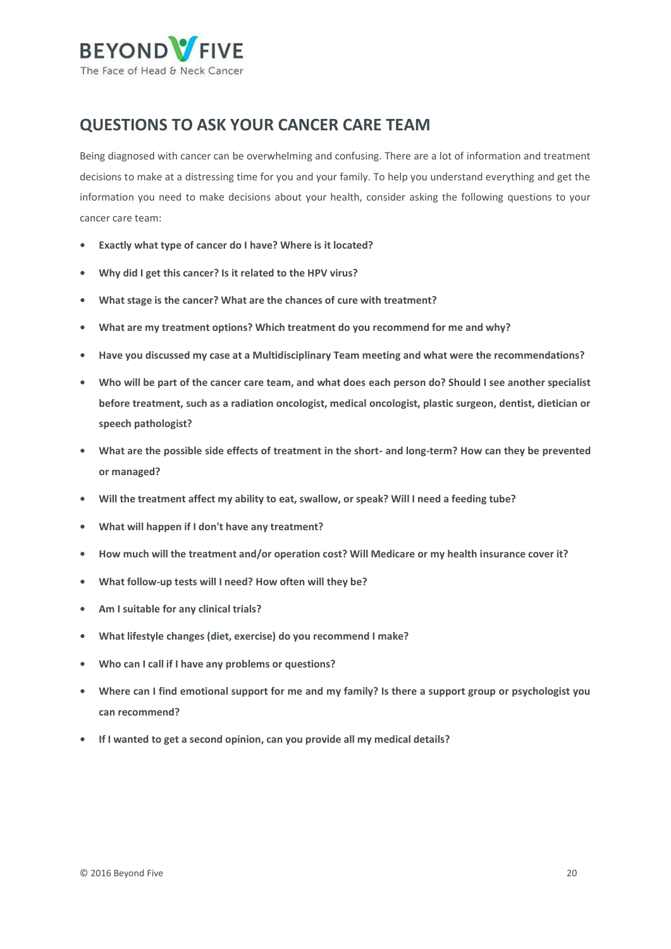

## <span id="page-19-0"></span>**QUESTIONS TO ASK YOUR CANCER CARE TEAM**

Being diagnosed with cancer can be overwhelming and confusing. There are a lot of information and treatment decisions to make at a distressing time for you and your family. To help you understand everything and get the information you need to make decisions about your health, consider asking the following questions to your cancer care team:

- **• Exactly what type of cancer do I have? Where is it located?**
- **• Why did I get this cancer? Is it related to the HPV virus?**
- **• What stage is the cancer? What are the chances of cure with treatment?**
- **• What are my treatment options? Which treatment do you recommend for me and why?**
- **• Have you discussed my case at a Multidisciplinary Team meeting and what were the recommendations?**
- **• Who will be part of the cancer care team, and what does each person do? Should I see another specialist before treatment, such as a radiation oncologist, medical oncologist, plastic surgeon, dentist, dietician or speech pathologist?**
- **• What are the possible side effects of treatment in the short- and long-term? How can they be prevented or managed?**
- **• Will the treatment affect my ability to eat, swallow, or speak? Will I need a feeding tube?**
- **• What will happen if I don't have any treatment?**
- **• How much will the treatment and/or operation cost? Will Medicare or my health insurance cover it?**
- **• What follow-up tests will I need? How often will they be?**
- **• Am I suitable for any clinical trials?**
- **• What lifestyle changes (diet, exercise) do you recommend I make?**
- **• Who can I call if I have any problems or questions?**
- **• Where can I find emotional support for me and my family? Is there a support group or psychologist you can recommend?**
- **• If I wanted to get a second opinion, can you provide all my medical details?**